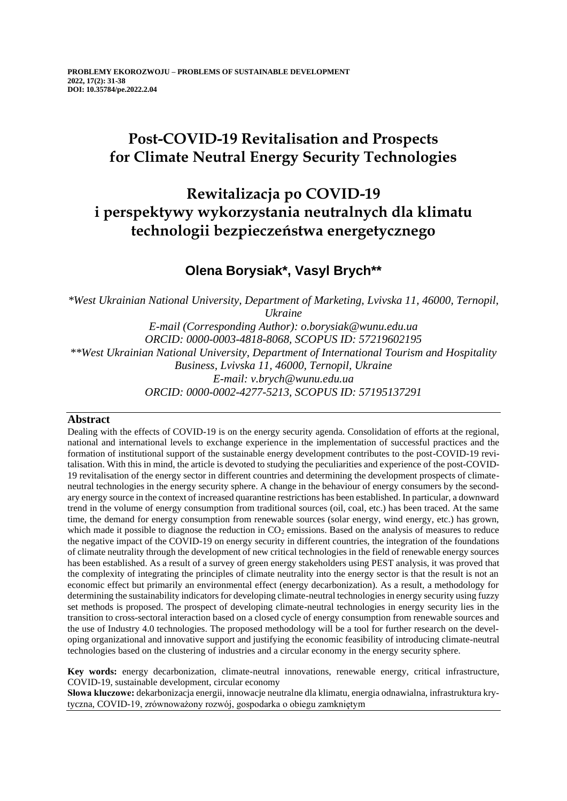# **Post-COVID-19 Revitalisation and Prospects for Climate Neutral Energy Security Technologies**

# **Rewitalizacja po COVID-19 i perspektywy wykorzystania neutralnych dla klimatu technologii bezpieczeństwa energetycznego**

### **Olena Borysiak\*, Vasyl Brych\*\***

*\*West Ukrainian National University, Department of Marketing, Lvivska 11, 46000, Ternopil, Ukraine E-mail (Corresponding Author): o.borysiak@wunu.edu.ua ORCID: 0000-0003-4818-8068, SCOPUS ID: 57219602195 \*\*West Ukrainian National University, Department of International Tourism and Hospitality Business, Lvivska 11, 46000, Ternopil, Ukraine E-mail: v.brych@wunu.edu.ua ORCID: 0000-0002-4277-5213, SCOPUS ID: 57195137291*

### **Abstract**

Dealing with the effects of COVID-19 is on the energy security agenda. Consolidation of efforts at the regional, national and international levels to exchange experience in the implementation of successful practices and the formation of institutional support of the sustainable energy development contributes to the post-COVID-19 revitalisation. With this in mind, the article is devoted to studying the peculiarities and experience of the post-COVID-19 revitalisation of the energy sector in different countries and determining the development prospects of climateneutral technologies in the energy security sphere. A change in the behaviour of energy consumers by the secondary energy source in the context of increased quarantine restrictions has been established. In particular, a downward trend in the volume of energy consumption from traditional sources (oil, coal, etc.) has been traced. At the same time, the demand for energy consumption from renewable sources (solar energy, wind energy, etc.) has grown, which made it possible to diagnose the reduction in  $CO<sub>2</sub>$  emissions. Based on the analysis of measures to reduce the negative impact of the COVID-19 on energy security in different countries, the integration of the foundations of climate neutrality through the development of new critical technologies in the field of renewable energy sources has been established. As a result of a survey of green energy stakeholders using PEST analysis, it was proved that the complexity of integrating the principles of climate neutrality into the energy sector is that the result is not an economic effect but primarily an environmental effect (energy decarbonization). As a result, a methodology for determining the sustainability indicators for developing climate-neutral technologies in energy security using fuzzy set methods is proposed. The prospect of developing climate-neutral technologies in energy security lies in the transition to cross-sectoral interaction based on a closed cycle of energy consumption from renewable sources and the use of Industry 4.0 technologies. The proposed methodology will be a tool for further research on the developing organizational and innovative support and justifying the economic feasibility of introducing climate-neutral technologies based on the clustering of industries and a circular economy in the energy security sphere.

**Key words:** energy decarbonization, climate-neutral innovations, renewable energy, critical infrastructure, COVID-19, sustainable development, circular economy

**Słowa kluczowe:** dekarbonizacja energii, innowacje neutralne dla klimatu, energia odnawialna, infrastruktura krytyczna, COVID-19, zrównoważony rozwój, gospodarka o obiegu zamkniętym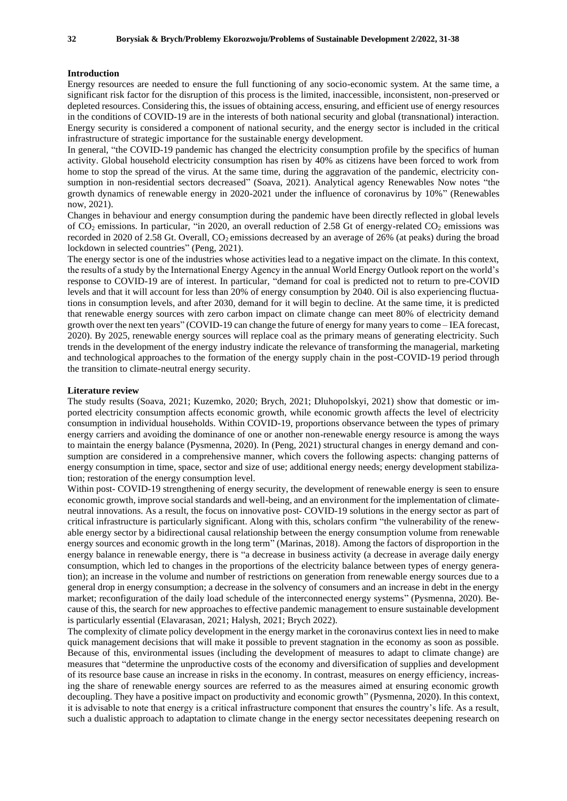#### **Introduction**

Energy resources are needed to ensure the full functioning of any socio-economic system. At the same time, a significant risk factor for the disruption of this process is the limited, inaccessible, inconsistent, non-preserved or depleted resources. Considering this, the issues of obtaining access, ensuring, and efficient use of energy resources in the conditions of COVID-19 are in the interests of both national security and global (transnational) interaction. Energy security is considered a component of national security, and the energy sector is included in the critical infrastructure of strategic importance for the sustainable energy development.

In general, "the COVID-19 pandemic has changed the electricity consumption profile by the specifics of human activity. Global household electricity consumption has risen by 40% as citizens have been forced to work from home to stop the spread of the virus. At the same time, during the aggravation of the pandemic, electricity consumption in non-residential sectors decreased" (Soava, 2021). Analytical agency Renewables Now notes "the growth dynamics of renewable energy in 2020-2021 under the influence of coronavirus by 10%" (Renewables now, 2021).

Changes in behaviour and energy consumption during the pandemic have been directly reflected in global levels of  $CO<sub>2</sub>$  emissions. In particular, "in 2020, an overall reduction of 2.58 Gt of energy-related  $CO<sub>2</sub>$  emissions was recorded in 2020 of 2.58 Gt. Overall,  $CO<sub>2</sub>$  emissions decreased by an average of 26% (at peaks) during the broad lockdown in selected countries" (Peng, 2021).

The energy sector is one of the industries whose activities lead to a negative impact on the climate. In this context, the results of a study by the International Energy Agency in the annual World Energy Outlook report on the world's response to COVID-19 are of interest. In particular, "demand for coal is predicted not to return to pre-COVID levels and that it will account for less than 20% of energy consumption by 2040. Oil is also experiencing fluctuations in consumption levels, and after 2030, demand for it will begin to decline. At the same time, it is predicted that renewable energy sources with zero carbon impact on climate change can meet 80% of electricity demand growth over the next ten years" (COVID-19 can change the future of energy for many years to come – IEA forecast, 2020). By 2025, renewable energy sources will replace coal as the primary means of generating electricity. Such trends in the development of the energy industry indicate the relevance of transforming the managerial, marketing and technological approaches to the formation of the energy supply chain in the post-COVID-19 period through the transition to climate-neutral energy security.

#### **Literature review**

The study results (Soava, 2021; Kuzemko, 2020; Brych, 2021; Dluhopolskyi, 2021) show that domestic or imported electricity consumption affects economic growth, while economic growth affects the level of electricity consumption in individual households. Within COVID-19, proportions observance between the types of primary energy carriers and avoiding the dominance of one or another non-renewable energy resource is among the ways to maintain the energy balance (Pysmenna, 2020). In (Peng, 2021) structural changes in energy demand and consumption are considered in a comprehensive manner, which covers the following aspects: changing patterns of energy consumption in time, space, sector and size of use; additional energy needs; energy development stabilization; restoration of the energy consumption level.

Within post- COVID-19 strengthening of energy security, the development of renewable energy is seen to ensure economic growth, improve social standards and well-being, and an environment for the implementation of climateneutral innovations. As a result, the focus on innovative post- COVID-19 solutions in the energy sector as part of critical infrastructure is particularly significant. Along with this, scholars confirm "the vulnerability of the renewable energy sector by a bidirectional causal relationship between the energy consumption volume from renewable energy sources and economic growth in the long term" (Marinas, 2018). Among the factors of disproportion in the energy balance in renewable energy, there is "a decrease in business activity (a decrease in average daily energy consumption, which led to changes in the proportions of the electricity balance between types of energy generation); an increase in the volume and number of restrictions on generation from renewable energy sources due to a general drop in energy consumption; a decrease in the solvency of consumers and an increase in debt in the energy market; reconfiguration of the daily load schedule of the interconnected energy systems" (Pysmenna, 2020). Because of this, the search for new approaches to effective pandemic management to ensure sustainable development is particularly essential (Elavarasan, 2021; Halysh, 2021; Brych 2022).

The complexity of climate policy development in the energy market in the coronavirus context lies in need to make quick management decisions that will make it possible to prevent stagnation in the economy as soon as possible. Because of this, environmental issues (including the development of measures to adapt to climate change) are measures that "determine the unproductive costs of the economy and diversification of supplies and development of its resource base cause an increase in risks in the economy. In contrast, measures on energy efficiency, increasing the share of renewable energy sources are referred to as the measures aimed at ensuring economic growth decoupling. They have a positive impact on productivity and economic growth" (Pysmenna, 2020). In this context, it is advisable to note that energy is a critical infrastructure component that ensures the country's life. As a result, such a dualistic approach to adaptation to climate change in the energy sector necessitates deepening research on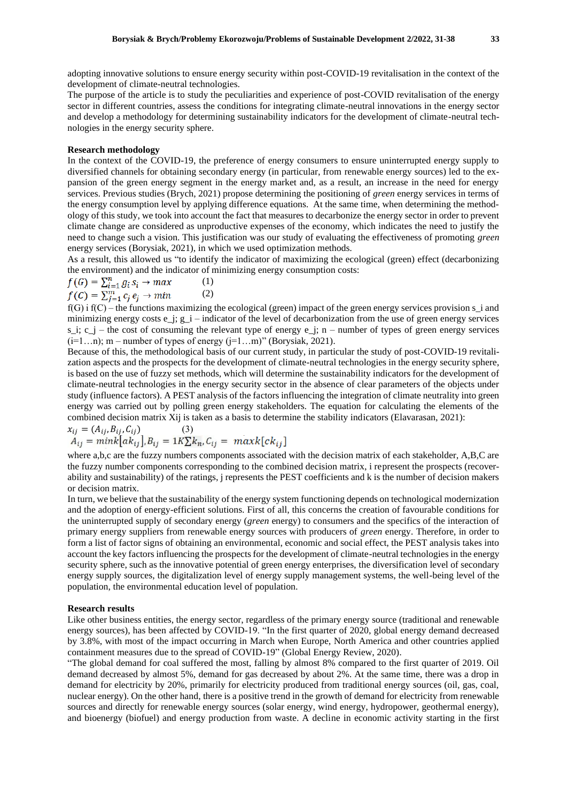adopting innovative solutions to ensure energy security within post-COVID-19 revitalisation in the context of the development of climate-neutral technologies.

The purpose of the article is to study the peculiarities and experience of post-COVID revitalisation of the energy sector in different countries, assess the conditions for integrating climate-neutral innovations in the energy sector and develop a methodology for determining sustainability indicators for the development of climate-neutral technologies in the energy security sphere.

#### **Research methodology**

In the context of the COVID-19, the preference of energy consumers to ensure uninterrupted energy supply to diversified channels for obtaining secondary energy (in particular, from renewable energy sources) led to the expansion of the green energy segment in the energy market and, as a result, an increase in the need for energy services. Previous studies (Brych, 2021) propose determining the positioning of *green* energy services in terms of the energy consumption level by applying difference equations. At the same time, when determining the methodology of this study, we took into account the fact that measures to decarbonize the energy sector in order to prevent climate change are considered as unproductive expenses of the economy, which indicates the need to justify the need to change such a vision. This justification was our study of evaluating the effectiveness of promoting *green* energy services (Borysiak, 2021), in which we used optimization methods.

As a result, this allowed us "to identify the indicator of maximizing the ecological (green) effect (decarbonizing the environment) and the indicator of minimizing energy consumption costs:

$$
f(G) = \sum_{i=1}^{n} g_i s_i \rightarrow max
$$
 (1)  

$$
f(C) = \sum_{i=1}^{m} c_i e_i \rightarrow min
$$
 (2)

 $f(G)$  i  $f(C)$  – the functions maximizing the ecological (green) impact of the green energy services provision s\_i and minimizing energy costs e  $j$ ; g\_i – indicator of the level of decarbonization from the use of green energy services s\_i;  $c_j$  – the cost of consuming the relevant type of energy e\_j; n – number of types of green energy services  $(i=1...n)$ ; m – number of types of energy  $(i=1...m)$ " (Borysiak, 2021).

Because of this, the methodological basis of our current study, in particular the study of post-COVID-19 revitalization aspects and the prospects for the development of climate-neutral technologies in the energy security sphere, is based on the use of fuzzy set methods, which will determine the sustainability indicators for the development of climate-neutral technologies in the energy security sector in the absence of clear parameters of the objects under study (influence factors). A PEST analysis of the factors influencing the integration of climate neutrality into green energy was carried out by polling green energy stakeholders. The equation for calculating the elements of the combined decision matrix Xij is taken as a basis to determine the stability indicators (Elavarasan, 2021):

$$
x_{ij} = (A_{ij}, B_{ij}, C_{ij})
$$
  
\n
$$
A_{ij} = mink[a k_{ij}], B_{ij} = 1K \sum k_n, C_{ij} = maxk[c k_{ij}]
$$

where a,b,c are the fuzzy numbers components associated with the decision matrix of each stakeholder, A,B,C are the fuzzy number components corresponding to the combined decision matrix, i represent the prospects (recoverability and sustainability) of the ratings, j represents the PEST coefficients and k is the number of decision makers or decision matrix.

In turn, we believe that the sustainability of the energy system functioning depends on technological modernization and the adoption of energy-efficient solutions. First of all, this concerns the creation of favourable conditions for the uninterrupted supply of secondary energy (*green* energy) to consumers and the specifics of the interaction of primary energy suppliers from renewable energy sources with producers of *green* energy. Therefore, in order to form a list of factor signs of obtaining an environmental, economic and social effect, the PEST analysis takes into account the key factors influencing the prospects for the development of climate-neutral technologies in the energy security sphere, such as the innovative potential of green energy enterprises, the diversification level of secondary energy supply sources, the digitalization level of energy supply management systems, the well-being level of the population, the environmental education level of population.

#### **Research results**

Like other business entities, the energy sector, regardless of the primary energy source (traditional and renewable energy sources), has been affected by COVID-19. "In the first quarter of 2020, global energy demand decreased by 3.8%, with most of the impact occurring in March when Europe, North America and other countries applied containment measures due to the spread of COVID-19" (Global Energy Review, 2020).

"The global demand for coal suffered the most, falling by almost 8% compared to the first quarter of 2019. Oil demand decreased by almost 5%, demand for gas decreased by about 2%. At the same time, there was a drop in demand for electricity by 20%, primarily for electricity produced from traditional energy sources (oil, gas, coal, nuclear energy). On the other hand, there is a positive trend in the growth of demand for electricity from renewable sources and directly for renewable energy sources (solar energy, wind energy, hydropower, geothermal energy), and bioenergy (biofuel) and energy production from waste. A decline in economic activity starting in the first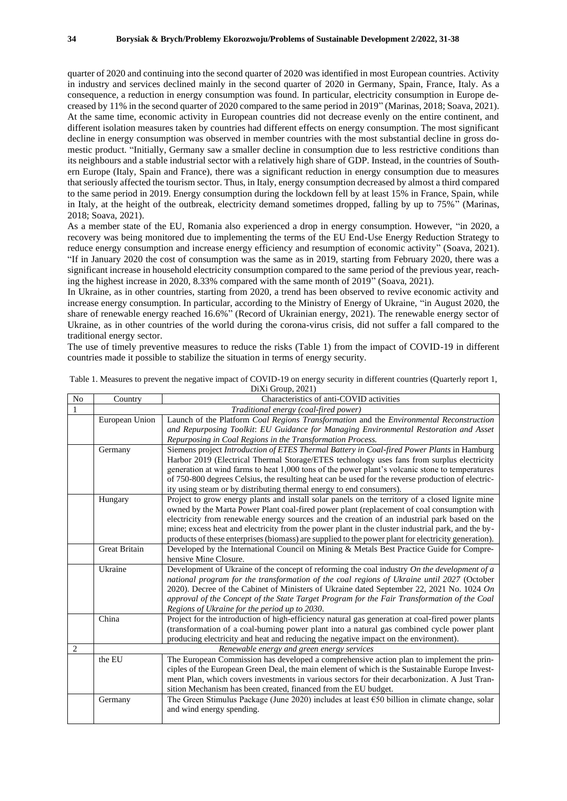quarter of 2020 and continuing into the second quarter of 2020 was identified in most European countries. Activity in industry and services declined mainly in the second quarter of 2020 in Germany, Spain, France, Italy. As a consequence, a reduction in energy consumption was found. In particular, electricity consumption in Europe decreased by 11% in the second quarter of 2020 compared to the same period in 2019" (Marinas, 2018; Soava, 2021). At the same time, economic activity in European countries did not decrease evenly on the entire continent, and different isolation measures taken by countries had different effects on energy consumption. The most significant decline in energy consumption was observed in member countries with the most substantial decline in gross domestic product. "Initially, Germany saw a smaller decline in consumption due to less restrictive conditions than its neighbours and a stable industrial sector with a relatively high share of GDP. Instead, in the countries of Southern Europe (Italy, Spain and France), there was a significant reduction in energy consumption due to measures that seriously affected the tourism sector. Thus, in Italy, energy consumption decreased by almost a third compared to the same period in 2019. Energy consumption during the lockdown fell by at least 15% in France, Spain, while in Italy, at the height of the outbreak, electricity demand sometimes dropped, falling by up to  $75\%$ <sup>3</sup>. (Marinas, 2018; Soava, 2021).

As a member state of the EU, Romania also experienced a drop in energy consumption. However, "in 2020, a recovery was being monitored due to implementing the terms of the EU End-Use Energy Reduction Strategy to reduce energy consumption and increase energy efficiency and resumption of economic activity" (Soava, 2021). "If in January 2020 the cost of consumption was the same as in 2019, starting from February 2020, there was a significant increase in household electricity consumption compared to the same period of the previous year, reaching the highest increase in 2020, 8.33% compared with the same month of 2019" (Soava, 2021).

In Ukraine, as in other countries, starting from 2020, a trend has been observed to revive economic activity and increase energy consumption. In particular, according to the Ministry of Energy of Ukraine, "in August 2020, the share of renewable energy reached 16.6%" (Record of Ukrainian energy, 2021). The renewable energy sector of Ukraine, as in other countries of the world during the corona-virus crisis, did not suffer a fall compared to the traditional energy sector.

The use of timely preventive measures to reduce the risks (Table 1) from the impact of COVID-19 in different countries made it possible to stabilize the situation in terms of energy security.

| No             | Country                               | Characteristics of anti-COVID activities                                                             |  |  |  |  |  |  |
|----------------|---------------------------------------|------------------------------------------------------------------------------------------------------|--|--|--|--|--|--|
| 1              | Traditional energy (coal-fired power) |                                                                                                      |  |  |  |  |  |  |
|                | European Union                        | Launch of the Platform Coal Regions Transformation and the Environmental Reconstruction              |  |  |  |  |  |  |
|                |                                       | and Repurposing Toolkit: EU Guidance for Managing Environmental Restoration and Asset                |  |  |  |  |  |  |
|                |                                       | Repurposing in Coal Regions in the Transformation Process.                                           |  |  |  |  |  |  |
|                | Germany                               | Siemens project Introduction of ETES Thermal Battery in Coal-fired Power Plants in Hamburg           |  |  |  |  |  |  |
|                |                                       | Harbor 2019 (Electrical Thermal Storage/ETES technology uses fans from surplus electricity           |  |  |  |  |  |  |
|                |                                       | generation at wind farms to heat 1,000 tons of the power plant's volcanic stone to temperatures      |  |  |  |  |  |  |
|                |                                       | of 750-800 degrees Celsius, the resulting heat can be used for the reverse production of electric-   |  |  |  |  |  |  |
|                |                                       | ity using steam or by distributing thermal energy to end consumers).                                 |  |  |  |  |  |  |
|                | Hungary                               | Project to grow energy plants and install solar panels on the territory of a closed lignite mine     |  |  |  |  |  |  |
|                |                                       | owned by the Marta Power Plant coal-fired power plant (replacement of coal consumption with          |  |  |  |  |  |  |
|                |                                       | electricity from renewable energy sources and the creation of an industrial park based on the        |  |  |  |  |  |  |
|                |                                       | mine; excess heat and electricity from the power plant in the cluster industrial park, and the by-   |  |  |  |  |  |  |
|                |                                       | products of these enterprises (biomass) are supplied to the power plant for electricity generation). |  |  |  |  |  |  |
|                | <b>Great Britain</b>                  | Developed by the International Council on Mining & Metals Best Practice Guide for Compre-            |  |  |  |  |  |  |
|                |                                       | hensive Mine Closure.                                                                                |  |  |  |  |  |  |
|                | Ukraine                               | Development of Ukraine of the concept of reforming the coal industry $On$ the development of a       |  |  |  |  |  |  |
|                |                                       | national program for the transformation of the coal regions of Ukraine until 2027 (October           |  |  |  |  |  |  |
|                |                                       | 2020). Decree of the Cabinet of Ministers of Ukraine dated September 22, 2021 No. 1024 On            |  |  |  |  |  |  |
|                |                                       | approval of the Concept of the State Target Program for the Fair Transformation of the Coal          |  |  |  |  |  |  |
|                |                                       | Regions of Ukraine for the period up to 2030.                                                        |  |  |  |  |  |  |
|                | China                                 | Project for the introduction of high-efficiency natural gas generation at coal-fired power plants    |  |  |  |  |  |  |
|                |                                       | (transformation of a coal-burning power plant into a natural gas combined cycle power plant          |  |  |  |  |  |  |
|                |                                       | producing electricity and heat and reducing the negative impact on the environment).                 |  |  |  |  |  |  |
| $\overline{c}$ |                                       | Renewable energy and green energy services                                                           |  |  |  |  |  |  |
|                | the EU                                | The European Commission has developed a comprehensive action plan to implement the prin-             |  |  |  |  |  |  |
|                |                                       | ciples of the European Green Deal, the main element of which is the Sustainable Europe Invest-       |  |  |  |  |  |  |
|                |                                       | ment Plan, which covers investments in various sectors for their decarbonization. A Just Tran-       |  |  |  |  |  |  |
|                |                                       | sition Mechanism has been created, financed from the EU budget.                                      |  |  |  |  |  |  |
|                | Germany                               | The Green Stimulus Package (June 2020) includes at least $650$ billion in climate change, solar      |  |  |  |  |  |  |
|                |                                       | and wind energy spending.                                                                            |  |  |  |  |  |  |
|                |                                       |                                                                                                      |  |  |  |  |  |  |

Table 1. Measures to prevent the negative impact of COVID-19 on energy security in different countries (Quarterly report 1, DiXi Group, 2021)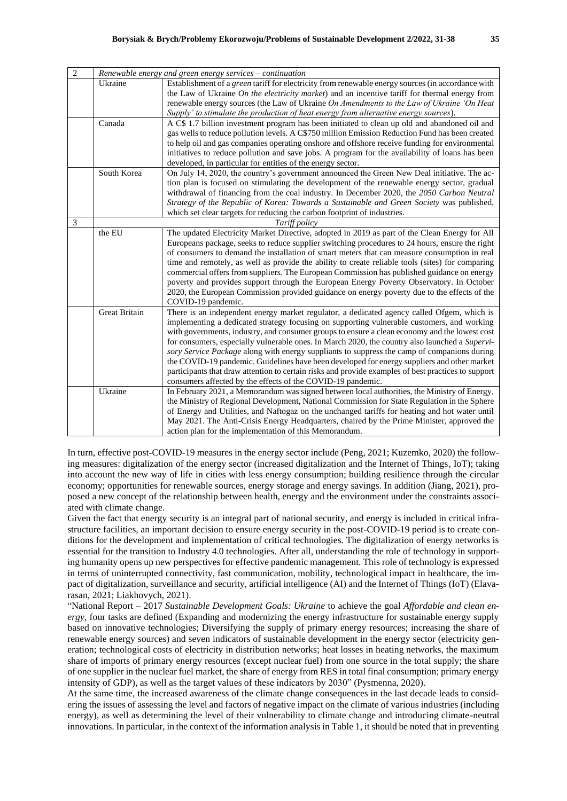| $\overline{2}$ | Renewable energy and green energy services - continuation |                                                                                                                                                                                                                                                                                                                                                                                                                                                                                                                                                                                                                                                                                                                                                                 |  |  |  |  |
|----------------|-----------------------------------------------------------|-----------------------------------------------------------------------------------------------------------------------------------------------------------------------------------------------------------------------------------------------------------------------------------------------------------------------------------------------------------------------------------------------------------------------------------------------------------------------------------------------------------------------------------------------------------------------------------------------------------------------------------------------------------------------------------------------------------------------------------------------------------------|--|--|--|--|
|                | Ukraine                                                   | Establishment of a green tariff for electricity from renewable energy sources (in accordance with<br>the Law of Ukraine On the electricity market) and an incentive tariff for thermal energy from<br>renewable energy sources (the Law of Ukraine On Amendments to the Law of Ukraine 'On Heat<br>Supply' to stimulate the production of heat energy from alternative energy sources).                                                                                                                                                                                                                                                                                                                                                                         |  |  |  |  |
|                | Canada                                                    | A C\$ 1.7 billion investment program has been initiated to clean up old and abandoned oil and<br>gas wells to reduce pollution levels. A C\$750 million Emission Reduction Fund has been created<br>to help oil and gas companies operating onshore and offshore receive funding for environmental<br>initiatives to reduce pollution and save jobs. A program for the availability of loans has been<br>developed, in particular for entities of the energy sector.                                                                                                                                                                                                                                                                                            |  |  |  |  |
|                | South Korea                                               | On July 14, 2020, the country's government announced the Green New Deal initiative. The ac-<br>tion plan is focused on stimulating the development of the renewable energy sector, gradual<br>withdrawal of financing from the coal industry. In December 2020, the 2050 Carbon Neutral<br>Strategy of the Republic of Korea: Towards a Sustainable and Green Society was published,<br>which set clear targets for reducing the carbon footprint of industries.                                                                                                                                                                                                                                                                                                |  |  |  |  |
| 3              |                                                           | Tariff policy                                                                                                                                                                                                                                                                                                                                                                                                                                                                                                                                                                                                                                                                                                                                                   |  |  |  |  |
|                | the EU                                                    | The updated Electricity Market Directive, adopted in 2019 as part of the Clean Energy for All<br>Europeans package, seeks to reduce supplier switching procedures to 24 hours, ensure the right<br>of consumers to demand the installation of smart meters that can measure consumption in real<br>time and remotely, as well as provide the ability to create reliable tools (sites) for comparing<br>commercial offers from suppliers. The European Commission has published guidance on energy<br>poverty and provides support through the European Energy Poverty Observatory. In October<br>2020, the European Commission provided guidance on energy poverty due to the effects of the<br>COVID-19 pandemic.                                              |  |  |  |  |
|                | <b>Great Britain</b>                                      | There is an independent energy market regulator, a dedicated agency called Ofgem, which is<br>implementing a dedicated strategy focusing on supporting vulnerable customers, and working<br>with governments, industry, and consumer groups to ensure a clean economy and the lowest cost<br>for consumers, especially vulnerable ones. In March 2020, the country also launched a Supervi-<br>sory Service Package along with energy suppliants to suppress the camp of companions during<br>the COVID-19 pandemic. Guidelines have been developed for energy suppliers and other market<br>participants that draw attention to certain risks and provide examples of best practices to support<br>consumers affected by the effects of the COVID-19 pandemic. |  |  |  |  |
|                | Ukraine                                                   | In February 2021, a Memorandum was signed between local authorities, the Ministry of Energy,<br>the Ministry of Regional Development, National Commission for State Regulation in the Sphere<br>of Energy and Utilities, and Naftogaz on the unchanged tariffs for heating and hot water until<br>May 2021. The Anti-Crisis Energy Headquarters, chaired by the Prime Minister, approved the<br>action plan for the implementation of this Memorandum.                                                                                                                                                                                                                                                                                                          |  |  |  |  |

In turn, effective post-COVID-19 measures in the energy sector include (Peng, 2021; Kuzemko, 2020) the following measures: digitalization of the energy sector (increased digitalization and the Internet of Things, IoT); taking into account the new way of life in cities with less energy consumption; building resilience through the circular economy; opportunities for renewable sources, energy storage and energy savings. In addition (Jiang, 2021), proposed a new concept of the relationship between health, energy and the environment under the constraints associated with climate change.

Given the fact that energy security is an integral part of national security, and energy is included in critical infrastructure facilities, an important decision to ensure energy security in the post-COVID-19 period is to create conditions for the development and implementation of critical technologies. The digitalization of energy networks is essential for the transition to Industry 4.0 technologies. After all, understanding the role of technology in supporting humanity opens up new perspectives for effective pandemic management. This role of technology is expressed in terms of uninterrupted connectivity, fast communication, mobility, technological impact in healthcare, the impact of digitalization, surveillance and security, artificial intelligence (AI) and the Internet of Things (IoT) (Elavarasan, 2021; Liakhovych, 2021).

"National Report – 2017 *Sustainable Development Goals: Ukraine* to achieve the goal *Affordable and clean energy*, four tasks are defined (Expanding and modernizing the energy infrastructure for sustainable energy supply based on innovative technologies; Diversifying the supply of primary energy resources; increasing the share of renewable energy sources) and seven indicators of sustainable development in the energy sector (electricity generation; technological costs of electricity in distribution networks; heat losses in heating networks, the maximum share of imports of primary energy resources (except nuclear fuel) from one source in the total supply; the share of one supplier in the nuclear fuel market, the share of energy from RES in total final consumption; primary energy intensity of GDP), as well as the target values of these indicators by 2030" (Pysmenna, 2020).

At the same time, the increased awareness of the climate change consequences in the last decade leads to considering the issues of assessing the level and factors of negative impact on the climate of various industries (including energy), as well as determining the level of their vulnerability to climate change and introducing climate-neutral innovations. In particular, in the context of the information analysis in Table 1, it should be noted that in preventing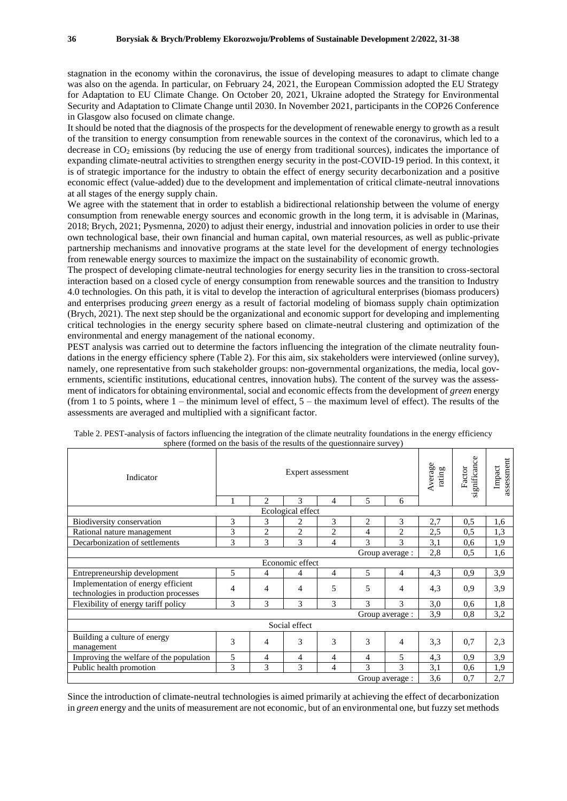stagnation in the economy within the coronavirus, the issue of developing measures to adapt to climate change was also on the agenda. In particular, on February 24, 2021, the European Commission adopted the EU Strategy for Adaptation to EU Climate Change. On October 20, 2021, Ukraine adopted the Strategy for Environmental Security and Adaptation to Climate Change until 2030. In November 2021, participants in the COP26 Conference in Glasgow also focused on climate change.

It should be noted that the diagnosis of the prospects for the development of renewable energy to growth as a result of the transition to energy consumption from renewable sources in the context of the coronavirus, which led to a decrease in CO<sup>2</sup> emissions (by reducing the use of energy from traditional sources), indicates the importance of expanding climate-neutral activities to strengthen energy security in the post-COVID-19 period. In this context, it is of strategic importance for the industry to obtain the effect of energy security decarbonization and a positive economic effect (value-added) due to the development and implementation of critical climate-neutral innovations at all stages of the energy supply chain.

We agree with the statement that in order to establish a bidirectional relationship between the volume of energy consumption from renewable energy sources and economic growth in the long term, it is advisable in (Marinas, 2018; Brych, 2021; Pysmenna, 2020) to adjust their energy, industrial and innovation policies in order to use their own technological base, their own financial and human capital, own material resources, as well as public-private partnership mechanisms and innovative programs at the state level for the development of energy technologies from renewable energy sources to maximize the impact on the sustainability of economic growth.

The prospect of developing climate-neutral technologies for energy security lies in the transition to cross-sectoral interaction based on a closed cycle of energy consumption from renewable sources and the transition to Industry 4.0 technologies. On this path, it is vital to develop the interaction of agricultural enterprises (biomass producers) and enterprises producing *green* energy as a result of factorial modeling of biomass supply chain optimization (Brych, 2021). The next step should be the organizational and economic support for developing and implementing critical technologies in the energy security sphere based on climate-neutral clustering and optimization of the environmental and energy management of the national economy.

PEST analysis was carried out to determine the factors influencing the integration of the climate neutrality foundations in the energy efficiency sphere (Table 2). For this aim, six stakeholders were interviewed (online survey), namely, one representative from such stakeholder groups: non-governmental organizations, the media, local governments, scientific institutions, educational centres, innovation hubs). The content of the survey was the assessment of indicators for obtaining environmental, social and economic effects from the development of *green* energy (from 1 to 5 points, where  $1$  – the minimum level of effect,  $5$  – the maximum level of effect). The results of the assessments are averaged and multiplied with a significant factor.

| Indicator                                                                  | Expert assessment |                |                |                |               |                | Average<br>rating | significance<br>Factor | assessment<br>Impact |
|----------------------------------------------------------------------------|-------------------|----------------|----------------|----------------|---------------|----------------|-------------------|------------------------|----------------------|
|                                                                            |                   | 2              | $\mathcal{R}$  | 4              | 5             | 6              |                   |                        |                      |
| Ecological effect                                                          |                   |                |                |                |               |                |                   |                        |                      |
| Biodiversity conservation                                                  | 3                 | 3              | 2              | 3              | 2             | 3              | 2,7               | 0.5                    | 1,6                  |
| Rational nature management                                                 | 3                 | $\overline{2}$ | $\overline{c}$ | $\overline{2}$ | 4             | 2              | 2,5               | 0.5                    | 1,3                  |
| Decarbonization of settlements                                             | 3                 | 3              | 3              | 4              | $\mathcal{E}$ | 3              | 3,1               | 0,6                    | 1,9                  |
| Group average :                                                            |                   |                |                |                |               |                | 2,8               | 0.5                    | 1,6                  |
| Economic effect                                                            |                   |                |                |                |               |                |                   |                        |                      |
| Entrepreneurship development                                               | 5                 | 4              | 4              | 4              | 5             | $\overline{4}$ | 4,3               | 0.9                    | 3,9                  |
| Implementation of energy efficient<br>technologies in production processes | 4                 | 4              | 4              | 5              | 5             | 4              | 4,3               | 0.9                    | 3,9                  |
| Flexibility of energy tariff policy                                        | 3                 | 3              | 3              | 3              | 3             | 3              | 3,0               | 0.6                    | 1,8                  |
| Group average :                                                            |                   |                |                |                |               |                | 3,9               | 0.8                    | 3,2                  |
| Social effect                                                              |                   |                |                |                |               |                |                   |                        |                      |
| Building a culture of energy<br>management                                 | 3                 | 4              | 3              | 3              | 3             | 4              | 3,3               | 0.7                    | 2,3                  |
| Improving the welfare of the population                                    | 5                 | 4              | 4              | 4              | 4             | 5              | 4,3               | 0.9                    | 3,9                  |
| Public health promotion                                                    | 3                 | 3              | 3              | 4              | 3             | 3              | 3,1               | 0,6                    | 1,9                  |
| Group average :                                                            |                   |                |                |                |               |                | 3,6               | 0,7                    | 2,7                  |

| Table 2. PEST-analysis of factors influencing the integration of the climate neutrality foundations in the energy efficiency |  |
|------------------------------------------------------------------------------------------------------------------------------|--|
| sphere (formed on the basis of the results of the questionnaire survey)                                                      |  |

Since the introduction of climate-neutral technologies is aimed primarily at achieving the effect of decarbonization in *green* energy and the units of measurement are not economic, but of an environmental one, but fuzzy set methods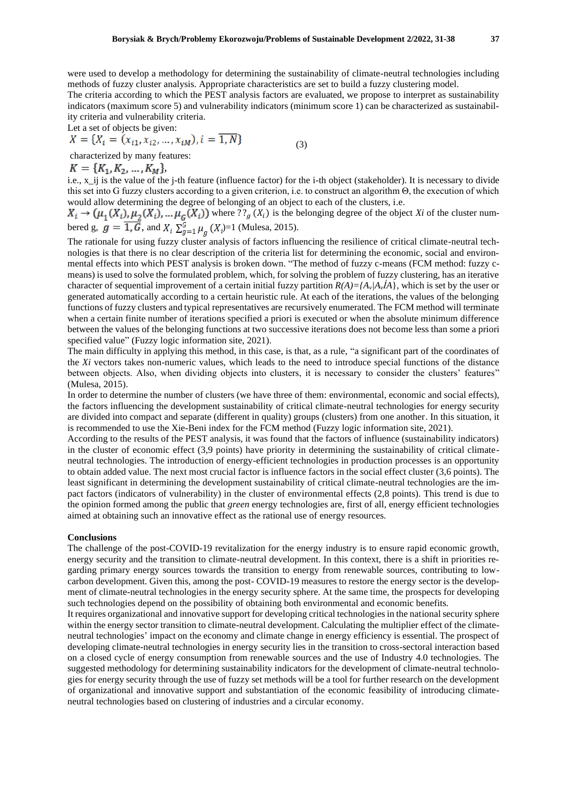were used to develop a methodology for determining the sustainability of climate-neutral technologies including methods of fuzzy cluster analysis. Appropriate characteristics are set to build a fuzzy clustering model.

The criteria according to which the PEST analysis factors are evaluated, we propose to interpret as sustainability indicators (maximum score 5) and vulnerability indicators (minimum score 1) can be characterized as sustainability criteria and vulnerability criteria.

Let a set of objects be given:

$$
X = \{X_i = (x_{i1}, x_{i2}, \dots, x_{iM}), i = 1, N\}
$$
\n(3)

characterized by many features:

 $K = \{K_1, K_2, ..., K_M\},\$ 

i.e., x\_ij is the value of the j-th feature (influence factor) for the i-th object (stakeholder). It is necessary to divide this set into G fuzzy clusters according to a given criterion, i.e. to construct an algorithm Θ, the execution of which would allow determining the degree of belonging of an object to each of the clusters, i.e.

where  $??_g(X_i)$  is the belonging degree of the object *Xi* of the cluster numbered g,  $g = \overline{1, G}$ , and  $X_i \sum_{n=1}^G \mu_n(X_i) = 1$  (Mulesa, 2015).

The rationale for using fuzzy cluster analysis of factors influencing the resilience of critical climate-neutral technologies is that there is no clear description of the criteria list for determining the economic, social and environmental effects into which PEST analysis is broken down. "The method of fuzzy c-means (FCM method: fuzzy cmeans) is used to solve the formulated problem, which, for solving the problem of fuzzy clustering, has an iterative character of sequential improvement of a certain initial fuzzy partition  $R(A) = \{A_v | A_v \neq A\}$ , which is set by the user or generated automatically according to a certain heuristic rule. At each of the iterations, the values of the belonging functions of fuzzy clusters and typical representatives are recursively enumerated. The FCM method will terminate when a certain finite number of iterations specified a priori is executed or when the absolute minimum difference between the values of the belonging functions at two successive iterations does not become less than some a priori specified value" (Fuzzy logic information site, 2021).

The main difficulty in applying this method, in this case, is that, as a rule, "a significant part of the coordinates of the *Xi* vectors takes non-numeric values, which leads to the need to introduce special functions of the distance between objects. Also, when dividing objects into clusters, it is necessary to consider the clusters' features" (Mulesa, 2015).

In order to determine the number of clusters (we have three of them: environmental, economic and social effects), the factors influencing the development sustainability of critical climate-neutral technologies for energy security are divided into compact and separate (different in quality) groups (clusters) from one another. In this situation, it is recommended to use the Xie-Beni index for the FCM method (Fuzzy logic information site, 2021).

According to the results of the PEST analysis, it was found that the factors of influence (sustainability indicators) in the cluster of economic effect (3,9 points) have priority in determining the sustainability of critical climateneutral technologies. The introduction of energy-efficient technologies in production processes is an opportunity to obtain added value. The next most crucial factor is influence factors in the social effect cluster (3,6 points). The least significant in determining the development sustainability of critical climate-neutral technologies are the impact factors (indicators of vulnerability) in the cluster of environmental effects (2,8 points). This trend is due to the opinion formed among the public that *green* energy technologies are, first of all, energy efficient technologies aimed at obtaining such an innovative effect as the rational use of energy resources.

#### **Conclusions**

The challenge of the post-COVID-19 revitalization for the energy industry is to ensure rapid economic growth, energy security and the transition to climate-neutral development. In this context, there is a shift in priorities regarding primary energy sources towards the transition to energy from renewable sources, contributing to lowcarbon development. Given this, among the post- COVID-19 measures to restore the energy sector is the development of climate-neutral technologies in the energy security sphere. At the same time, the prospects for developing such technologies depend on the possibility of obtaining both environmental and economic benefits.

It requires organizational and innovative support for developing critical technologies in the national security sphere within the energy sector transition to climate-neutral development. Calculating the multiplier effect of the climateneutral technologies' impact on the economy and climate change in energy efficiency is essential. The prospect of developing climate-neutral technologies in energy security lies in the transition to cross-sectoral interaction based on a closed cycle of energy consumption from renewable sources and the use of Industry 4.0 technologies. The suggested methodology for determining sustainability indicators for the development of climate-neutral technologies for energy security through the use of fuzzy set methods will be a tool for further research on the development of organizational and innovative support and substantiation of the economic feasibility of introducing climateneutral technologies based on clustering of industries and a circular economy.